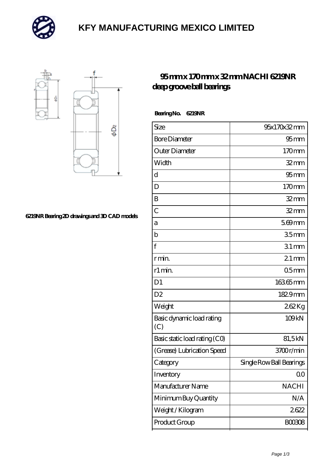

# **[KFY MANUFACTURING MEXICO LIMITED](https://m.mailemotion.tv)**



#### **[6219NR Bearing 2D drawings and 3D CAD models](https://m.mailemotion.tv/pic-413121.html)**

### **[95 mm x 170 mm x 32 mm NACHI 6219NR](https://m.mailemotion.tv/bj-413121-nachi-6219nr-deep-groove-ball-bearings.html) [deep groove ball bearings](https://m.mailemotion.tv/bj-413121-nachi-6219nr-deep-groove-ball-bearings.html)**

 **Bearing No. 6219NR**

| Size                             | 95x170x32mm              |
|----------------------------------|--------------------------|
| <b>Bore Diameter</b>             | $95 \text{mm}$           |
| Outer Diameter                   | 170mm                    |
| Width                            | $32 \text{mm}$           |
| d                                | 95 <sub>mm</sub>         |
| D                                | 170mm                    |
| B                                | $32 \text{mm}$           |
| $\overline{C}$                   | $32$ mm                  |
| a                                | $569$ mm                 |
| b                                | 35 <sub>mm</sub>         |
| f                                | $31$ mm                  |
| r min.                           | $21$ mm                  |
| r1 min.                          | 05 <sub>mm</sub>         |
| D <sub>1</sub>                   | 16365mm                  |
| D <sub>2</sub>                   | 1829mm                   |
| Weight                           | 262Kg                    |
| Basic dynamic load rating<br>(C) | 109kN                    |
| Basic static load rating (CO)    | 81,5kN                   |
| (Grease) Lubrication Speed       | 3700r/min                |
| Category                         | Single Row Ball Bearings |
| Inventory                        | QO                       |
| Manufacturer Name                | <b>NACHI</b>             |
| Minimum Buy Quantity             | N/A                      |
| Weight / Kilogram                | 2622                     |
| Product Group                    | <b>BOO3O8</b>            |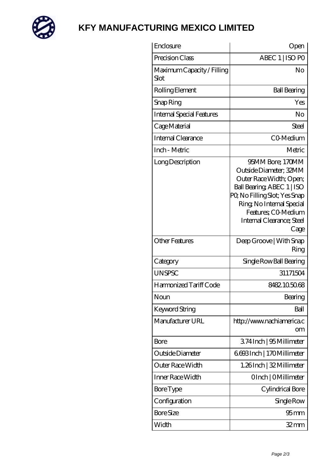

# **[KFY MANUFACTURING MEXICO LIMITED](https://m.mailemotion.tv)**

| Enclosure                          | Open                                                                                                                                                                                                                         |
|------------------------------------|------------------------------------------------------------------------------------------------------------------------------------------------------------------------------------------------------------------------------|
| Precision Class                    | ABEC 1   ISO PO                                                                                                                                                                                                              |
| Maximum Capacity / Filling<br>Slot | No                                                                                                                                                                                                                           |
| Rolling Element                    | <b>Ball Bearing</b>                                                                                                                                                                                                          |
| Snap Ring                          | Yes                                                                                                                                                                                                                          |
| <b>Internal Special Features</b>   | No                                                                                                                                                                                                                           |
| Cage Material                      | Steel                                                                                                                                                                                                                        |
| Internal Clearance                 | CO-Medium                                                                                                                                                                                                                    |
| Inch - Metric                      | Metric                                                                                                                                                                                                                       |
| Long Description                   | 95MM Bore; 170MM<br>Outside Diameter; 32MM<br>Outer Race Width; Open;<br>Ball Bearing, ABEC 1   ISO<br>PQ No Filling Slot; Yes Snap<br>Ring, No Internal Special<br>Features: CO-Medium<br>Internal Clearance; Steel<br>Cage |
| <b>Other Features</b>              | Deep Groove   With Snap<br>Ring                                                                                                                                                                                              |
| Category                           | Single Row Ball Bearing                                                                                                                                                                                                      |
| <b>UNSPSC</b>                      | 31171504                                                                                                                                                                                                                     |
| Harmonized Tariff Code             | 8482.105068                                                                                                                                                                                                                  |
| Noun                               | Bearing                                                                                                                                                                                                                      |
| Keyword String                     | Ball                                                                                                                                                                                                                         |
| Manufacturer URL                   | http://www.nachiamerica.c<br>om                                                                                                                                                                                              |
| Bore                               | 374Inch   95 Millimeter                                                                                                                                                                                                      |
| Outside Diameter                   | 6693Inch   170Millimeter                                                                                                                                                                                                     |
| Outer Race Width                   | 1.26Inch   32 Millimeter                                                                                                                                                                                                     |
| Inner Race Width                   | OInch   OMillimeter                                                                                                                                                                                                          |
| <b>Bore Type</b>                   | Cylindrical Bore                                                                                                                                                                                                             |
| Configuration                      | Single Row                                                                                                                                                                                                                   |
| <b>Bore Size</b>                   | 95 mm                                                                                                                                                                                                                        |
| Width                              | $32 \text{mm}$                                                                                                                                                                                                               |